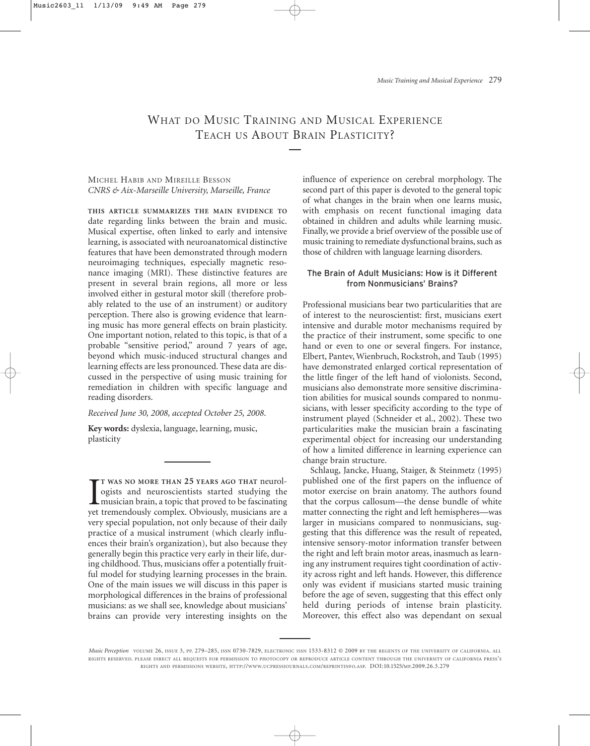# WHAT DO MUSIC TRAINING AND MUSICAL EXPERIENCE TEACH US ABOUT BRAIN PLASTICITY?

## MICHEL HABIB AND MIREILLE BESSON *CNRS & Aix-Marseille University, Marseille, France*

**THIS ARTICLE SUMMARIZES THE MAIN EVIDENCE TO** date regarding links between the brain and music. Musical expertise, often linked to early and intensive learning, is associated with neuroanatomical distinctive features that have been demonstrated through modern neuroimaging techniques, especially magnetic resonance imaging (MRI). These distinctive features are present in several brain regions, all more or less involved either in gestural motor skill (therefore probably related to the use of an instrument) or auditory perception. There also is growing evidence that learning music has more general effects on brain plasticity. One important notion, related to this topic, is that of a probable "sensitive period," around 7 years of age, beyond which music-induced structural changes and learning effects are less pronounced. These data are discussed in the perspective of using music training for remediation in children with specific language and reading disorders.

# *Received June 30, 2008, accepted October 25, 2008*.

**Key words:** dyslexia, language, learning, music, plasticity

 $\prod_{\text{vet}}$ **T WAS NO MORE THAN 25 YEARS AGO THAT** neurologists and neuroscientists started studying the musician brain, a topic that proved to be fascinating yet tremendously complex. Obviously, musicians are a very special population, not only because of their daily practice of a musical instrument (which clearly influences their brain's organization), but also because they generally begin this practice very early in their life, during childhood. Thus, musicians offer a potentially fruitful model for studying learning processes in the brain. One of the main issues we will discuss in this paper is morphological differences in the brains of professional musicians: as we shall see, knowledge about musicians' brains can provide very interesting insights on the

influence of experience on cerebral morphology. The second part of this paper is devoted to the general topic of what changes in the brain when one learns music, with emphasis on recent functional imaging data obtained in children and adults while learning music. Finally, we provide a brief overview of the possible use of music training to remediate dysfunctional brains, such as those of children with language learning disorders.

## The Brain of Adult Musicians: How is it Different from Nonmusicians' Brains?

Professional musicians bear two particularities that are of interest to the neuroscientist: first, musicians exert intensive and durable motor mechanisms required by the practice of their instrument, some specific to one hand or even to one or several fingers. For instance, Elbert, Pantev, Wienbruch, Rockstroh, and Taub (1995) have demonstrated enlarged cortical representation of the little finger of the left hand of violonists. Second, musicians also demonstrate more sensitive discrimination abilities for musical sounds compared to nonmusicians, with lesser specificity according to the type of instrument played (Schneider et al., 2002). These two particularities make the musician brain a fascinating experimental object for increasing our understanding of how a limited difference in learning experience can change brain structure.

Schlaug, Jancke, Huang, Staiger, & Steinmetz (1995) published one of the first papers on the influence of motor exercise on brain anatomy. The authors found that the corpus callosum—the dense bundle of white matter connecting the right and left hemispheres—was larger in musicians compared to nonmusicians, suggesting that this difference was the result of repeated, intensive sensory-motor information transfer between the right and left brain motor areas, inasmuch as learning any instrument requires tight coordination of activity across right and left hands. However, this difference only was evident if musicians started music training before the age of seven, suggesting that this effect only held during periods of intense brain plasticity. Moreover, this effect also was dependant on sexual

*Music Perception* VOLUME 26, ISSUE 3, PP. 279-285, ISSN 0730-7829, ELECTRONIC ISSN 1533-8312 © 2009 BY THE REGENTS OF THE UNIVERSITY OF CALIFORNIA. ALL RIGHTS RESERVED. PLEASE DIRECT ALL REQUESTS FOR PERMISSION TO PHOTOCOPY OR REPRODUCE ARTICLE CONTENT THROUGH THE UNIVERSITY OF CALIFORNIA PRESS'S RIGHTS AND PERMISSIONS WEBSITE, HTTP://WWW.UCPRESSJOURNALS.COM/REPRINTINFO.ASP. DOI:10.1525/MP.2009.26.3.279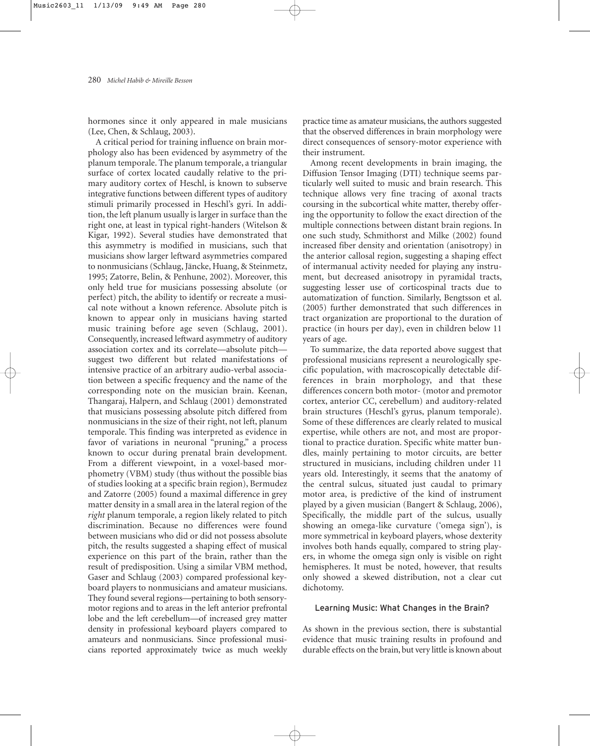hormones since it only appeared in male musicians (Lee, Chen, & Schlaug, 2003).

A critical period for training influence on brain morphology also has been evidenced by asymmetry of the planum temporale. The planum temporale, a triangular surface of cortex located caudally relative to the primary auditory cortex of Heschl, is known to subserve integrative functions between different types of auditory stimuli primarily processed in Heschl's gyri. In addition, the left planum usually is larger in surface than the right one, at least in typical right-handers (Witelson & Kigar, 1992). Several studies have demonstrated that this asymmetry is modified in musicians, such that musicians show larger leftward asymmetries compared to nonmusicians (Schlaug, Jäncke, Huang, & Steinmetz, 1995; Zatorre, Belin, & Penhune, 2002). Moreover, this only held true for musicians possessing absolute (or perfect) pitch, the ability to identify or recreate a musical note without a known reference. Absolute pitch is known to appear only in musicians having started music training before age seven (Schlaug, 2001). Consequently, increased leftward asymmetry of auditory association cortex and its correlate—absolute pitch suggest two different but related manifestations of intensive practice of an arbitrary audio-verbal association between a specific frequency and the name of the corresponding note on the musician brain. Keenan, Thangaraj, Halpern, and Schlaug (2001) demonstrated that musicians possessing absolute pitch differed from nonmusicians in the size of their right, not left, planum temporale. This finding was interpreted as evidence in favor of variations in neuronal "pruning," a process known to occur during prenatal brain development. From a different viewpoint, in a voxel-based morphometry (VBM) study (thus without the possible bias of studies looking at a specific brain region), Bermudez and Zatorre (2005) found a maximal difference in grey matter density in a small area in the lateral region of the *right* planum temporale, a region likely related to pitch discrimination. Because no differences were found between musicians who did or did not possess absolute pitch, the results suggested a shaping effect of musical experience on this part of the brain, rather than the result of predisposition. Using a similar VBM method, Gaser and Schlaug (2003) compared professional keyboard players to nonmusicians and amateur musicians. They found several regions—pertaining to both sensorymotor regions and to areas in the left anterior prefrontal lobe and the left cerebellum—of increased grey matter density in professional keyboard players compared to amateurs and nonmusicians. Since professional musicians reported approximately twice as much weekly

practice time as amateur musicians, the authors suggested that the observed differences in brain morphology were direct consequences of sensory-motor experience with their instrument.

Among recent developments in brain imaging, the Diffusion Tensor Imaging (DTI) technique seems particularly well suited to music and brain research. This technique allows very fine tracing of axonal tracts coursing in the subcortical white matter, thereby offering the opportunity to follow the exact direction of the multiple connections between distant brain regions. In one such study, Schmithorst and Milke (2002) found increased fiber density and orientation (anisotropy) in the anterior callosal region, suggesting a shaping effect of intermanual activity needed for playing any instrument, but decreased anisotropy in pyramidal tracts, suggesting lesser use of corticospinal tracts due to automatization of function. Similarly, Bengtsson et al. (2005) further demonstrated that such differences in tract organization are proportional to the duration of practice (in hours per day), even in children below 11 years of age.

To summarize, the data reported above suggest that professional musicians represent a neurologically specific population, with macroscopically detectable differences in brain morphology, and that these differences concern both motor- (motor and premotor cortex, anterior CC, cerebellum) and auditory-related brain structures (Heschl's gyrus, planum temporale). Some of these differences are clearly related to musical expertise, while others are not, and most are proportional to practice duration. Specific white matter bundles, mainly pertaining to motor circuits, are better structured in musicians, including children under 11 years old. Interestingly, it seems that the anatomy of the central sulcus, situated just caudal to primary motor area, is predictive of the kind of instrument played by a given musician (Bangert & Schlaug, 2006), Specifically, the middle part of the sulcus, usually showing an omega-like curvature ('omega sign'), is more symmetrical in keyboard players, whose dexterity involves both hands equally, compared to string players, in whome the omega sign only is visible on right hemispheres. It must be noted, however, that results only showed a skewed distribution, not a clear cut dichotomy.

#### Learning Music: What Changes in the Brain?

As shown in the previous section, there is substantial evidence that music training results in profound and durable effects on the brain, but very little is known about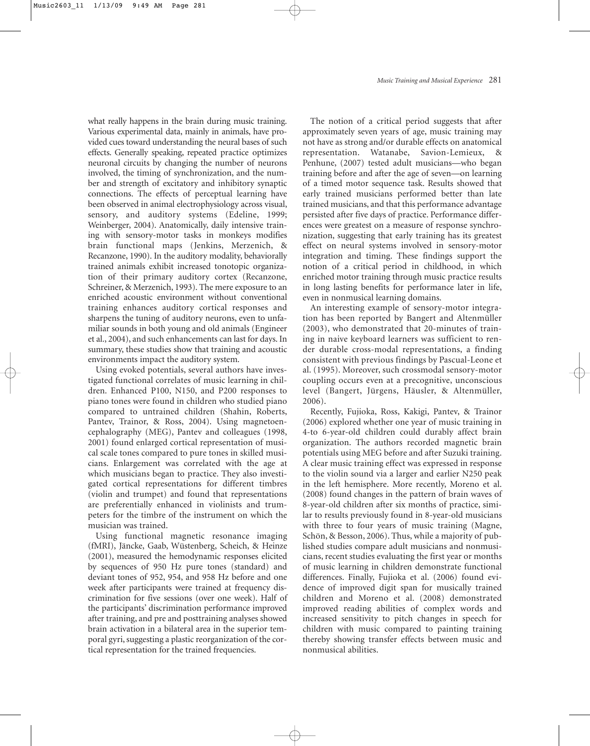what really happens in the brain during music training. Various experimental data, mainly in animals, have provided cues toward understanding the neural bases of such effects. Generally speaking, repeated practice optimizes neuronal circuits by changing the number of neurons involved, the timing of synchronization, and the number and strength of excitatory and inhibitory synaptic connections. The effects of perceptual learning have been observed in animal electrophysiology across visual, sensory, and auditory systems (Edeline, 1999; Weinberger, 2004). Anatomically, daily intensive training with sensory-motor tasks in monkeys modifies brain functional maps (Jenkins, Merzenich, & Recanzone, 1990). In the auditory modality, behaviorally trained animals exhibit increased tonotopic organization of their primary auditory cortex (Recanzone, Schreiner, & Merzenich, 1993). The mere exposure to an enriched acoustic environment without conventional training enhances auditory cortical responses and sharpens the tuning of auditory neurons, even to unfamiliar sounds in both young and old animals (Engineer et al., 2004), and such enhancements can last for days. In summary, these studies show that training and acoustic environments impact the auditory system.

Using evoked potentials, several authors have investigated functional correlates of music learning in children. Enhanced P100, N150, and P200 responses to piano tones were found in children who studied piano compared to untrained children (Shahin, Roberts, Pantev, Trainor, & Ross, 2004). Using magnetoencephalography (MEG), Pantev and colleagues (1998, 2001) found enlarged cortical representation of musical scale tones compared to pure tones in skilled musicians. Enlargement was correlated with the age at which musicians began to practice. They also investigated cortical representations for different timbres (violin and trumpet) and found that representations are preferentially enhanced in violinists and trumpeters for the timbre of the instrument on which the musician was trained.

Using functional magnetic resonance imaging (fMRI), Jäncke, Gaab, Wüstenberg, Scheich, & Heinze (2001), measured the hemodynamic responses elicited by sequences of 950 Hz pure tones (standard) and deviant tones of 952, 954, and 958 Hz before and one week after participants were trained at frequency discrimination for five sessions (over one week). Half of the participants' discrimination performance improved after training, and pre and posttraining analyses showed brain activation in a bilateral area in the superior temporal gyri, suggesting a plastic reorganization of the cortical representation for the trained frequencies.

The notion of a critical period suggests that after approximately seven years of age, music training may not have as strong and/or durable effects on anatomical representation. Watanabe, Savion-Lemieux, & Penhune, (2007) tested adult musicians—who began training before and after the age of seven—on learning of a timed motor sequence task. Results showed that early trained musicians performed better than late trained musicians, and that this performance advantage persisted after five days of practice. Performance differences were greatest on a measure of response synchronization, suggesting that early training has its greatest effect on neural systems involved in sensory-motor integration and timing. These findings support the notion of a critical period in childhood, in which enriched motor training through music practice results in long lasting benefits for performance later in life, even in nonmusical learning domains.

An interesting example of sensory-motor integration has been reported by Bangert and Altenmüller (2003), who demonstrated that 20-minutes of training in naive keyboard learners was sufficient to render durable cross-modal representations, a finding consistent with previous findings by Pascual-Leone et al. (1995). Moreover, such crossmodal sensory-motor coupling occurs even at a precognitive, unconscious level (Bangert, Jürgens, Häusler, & Altenmüller, 2006).

Recently, Fujioka, Ross, Kakigi, Pantev, & Trainor (2006) explored whether one year of music training in 4-to 6-year-old children could durably affect brain organization. The authors recorded magnetic brain potentials using MEG before and after Suzuki training. A clear music training effect was expressed in response to the violin sound via a larger and earlier N250 peak in the left hemisphere. More recently, Moreno et al. (2008) found changes in the pattern of brain waves of 8-year-old children after six months of practice, similar to results previously found in 8-year-old musicians with three to four years of music training (Magne, Schön, & Besson, 2006). Thus, while a majority of published studies compare adult musicians and nonmusicians, recent studies evaluating the first year or months of music learning in children demonstrate functional differences. Finally, Fujioka et al. (2006) found evidence of improved digit span for musically trained children and Moreno et al. (2008) demonstrated improved reading abilities of complex words and increased sensitivity to pitch changes in speech for children with music compared to painting training thereby showing transfer effects between music and nonmusical abilities.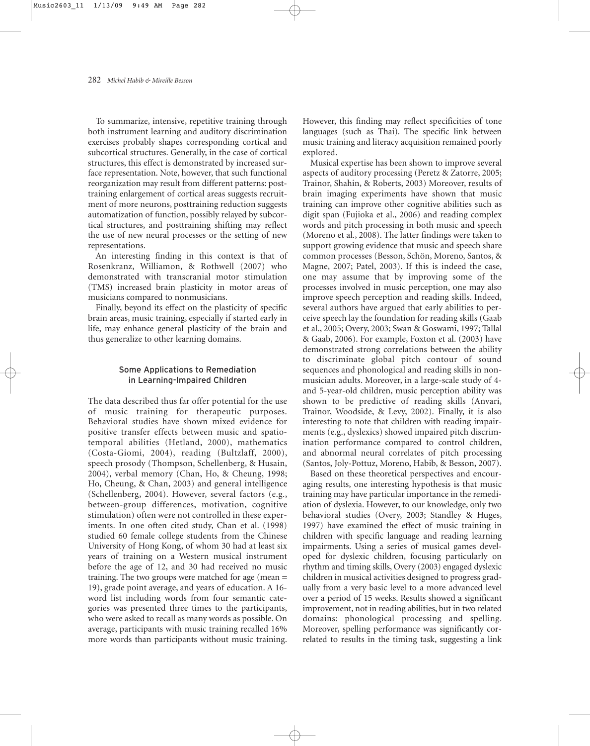To summarize, intensive, repetitive training through both instrument learning and auditory discrimination exercises probably shapes corresponding cortical and subcortical structures. Generally, in the case of cortical structures, this effect is demonstrated by increased surface representation. Note, however, that such functional reorganization may result from different patterns: posttraining enlargement of cortical areas suggests recruitment of more neurons, posttraining reduction suggests automatization of function, possibly relayed by subcortical structures, and posttraining shifting may reflect the use of new neural processes or the setting of new representations.

An interesting finding in this context is that of Rosenkranz, Williamon, & Rothwell (2007) who demonstrated with transcranial motor stimulation (TMS) increased brain plasticity in motor areas of musicians compared to nonmusicians.

Finally, beyond its effect on the plasticity of specific brain areas, music training, especially if started early in life, may enhance general plasticity of the brain and thus generalize to other learning domains.

## Some Applications to Remediation in Learning-Impaired Children

The data described thus far offer potential for the use of music training for therapeutic purposes. Behavioral studies have shown mixed evidence for positive transfer effects between music and spatiotemporal abilities (Hetland, 2000), mathematics (Costa-Giomi, 2004), reading (Bultzlaff, 2000), speech prosody (Thompson, Schellenberg, & Husain, 2004), verbal memory (Chan, Ho, & Cheung, 1998; Ho, Cheung, & Chan, 2003) and general intelligence (Schellenberg, 2004). However, several factors (e.g., between-group differences, motivation, cognitive stimulation) often were not controlled in these experiments. In one often cited study, Chan et al. (1998) studied 60 female college students from the Chinese University of Hong Kong, of whom 30 had at least six years of training on a Western musical instrument before the age of 12, and 30 had received no music training. The two groups were matched for age (mean = 19), grade point average, and years of education. A 16 word list including words from four semantic categories was presented three times to the participants, who were asked to recall as many words as possible. On average, participants with music training recalled 16% more words than participants without music training. However, this finding may reflect specificities of tone languages (such as Thai). The specific link between music training and literacy acquisition remained poorly explored.

Musical expertise has been shown to improve several aspects of auditory processing (Peretz & Zatorre, 2005; Trainor, Shahin, & Roberts, 2003) Moreover, results of brain imaging experiments have shown that music training can improve other cognitive abilities such as digit span (Fujioka et al., 2006) and reading complex words and pitch processing in both music and speech (Moreno et al., 2008). The latter findings were taken to support growing evidence that music and speech share common processes (Besson, Schön, Moreno, Santos, & Magne, 2007; Patel, 2003). If this is indeed the case, one may assume that by improving some of the processes involved in music perception, one may also improve speech perception and reading skills. Indeed, several authors have argued that early abilities to perceive speech lay the foundation for reading skills (Gaab et al., 2005; Overy, 2003; Swan & Goswami, 1997; Tallal & Gaab, 2006). For example, Foxton et al. (2003) have demonstrated strong correlations between the ability to discriminate global pitch contour of sound sequences and phonological and reading skills in nonmusician adults. Moreover, in a large-scale study of 4 and 5-year-old children, music perception ability was shown to be predictive of reading skills (Anvari, Trainor, Woodside, & Levy, 2002). Finally, it is also interesting to note that children with reading impairments (e.g., dyslexics) showed impaired pitch discrimination performance compared to control children, and abnormal neural correlates of pitch processing (Santos, Joly-Pottuz, Moreno, Habib, & Besson, 2007).

Based on these theoretical perspectives and encouraging results, one interesting hypothesis is that music training may have particular importance in the remediation of dyslexia. However, to our knowledge, only two behavioral studies (Overy, 2003; Standley & Huges, 1997) have examined the effect of music training in children with specific language and reading learning impairments. Using a series of musical games developed for dyslexic children, focusing particularly on rhythm and timing skills, Overy (2003) engaged dyslexic children in musical activities designed to progress gradually from a very basic level to a more advanced level over a period of 15 weeks. Results showed a significant improvement, not in reading abilities, but in two related domains: phonological processing and spelling. Moreover, spelling performance was significantly correlated to results in the timing task, suggesting a link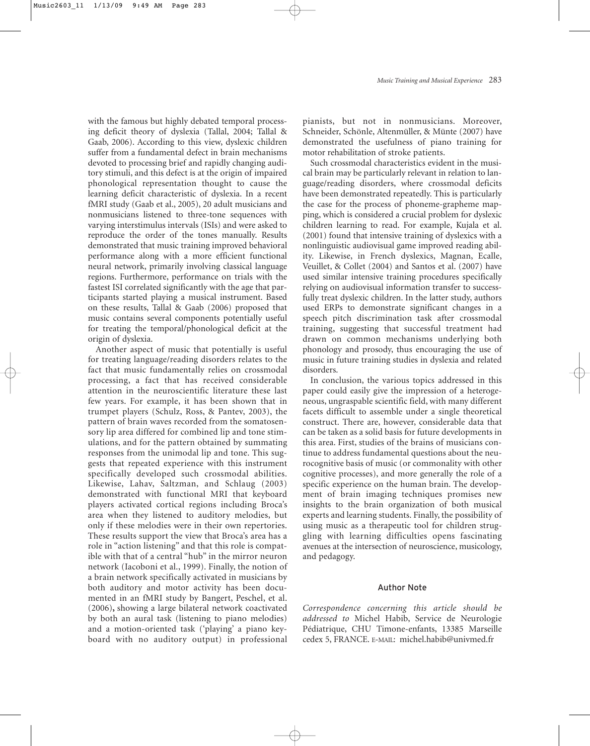with the famous but highly debated temporal processing deficit theory of dyslexia (Tallal, 2004; Tallal & Gaab, 2006). According to this view, dyslexic children suffer from a fundamental defect in brain mechanisms devoted to processing brief and rapidly changing auditory stimuli, and this defect is at the origin of impaired phonological representation thought to cause the learning deficit characteristic of dyslexia. In a recent fMRI study (Gaab et al., 2005), 20 adult musicians and nonmusicians listened to three-tone sequences with varying interstimulus intervals (ISIs) and were asked to reproduce the order of the tones manually. Results demonstrated that music training improved behavioral performance along with a more efficient functional neural network, primarily involving classical language regions. Furthermore, performance on trials with the fastest ISI correlated significantly with the age that participants started playing a musical instrument. Based on these results, Tallal & Gaab (2006) proposed that music contains several components potentially useful for treating the temporal/phonological deficit at the origin of dyslexia.

Another aspect of music that potentially is useful for treating language/reading disorders relates to the fact that music fundamentally relies on crossmodal processing, a fact that has received considerable attention in the neuroscientific literature these last few years. For example, it has been shown that in trumpet players (Schulz, Ross, & Pantev, 2003), the pattern of brain waves recorded from the somatosensory lip area differed for combined lip and tone stimulations, and for the pattern obtained by summating responses from the unimodal lip and tone. This suggests that repeated experience with this instrument specifically developed such crossmodal abilities. Likewise, Lahav, Saltzman, and Schlaug (2003) demonstrated with functional MRI that keyboard players activated cortical regions including Broca's area when they listened to auditory melodies, but only if these melodies were in their own repertories. These results support the view that Broca's area has a role in "action listening" and that this role is compatible with that of a central "hub" in the mirror neuron network (Iacoboni et al., 1999). Finally, the notion of a brain network specifically activated in musicians by both auditory and motor activity has been documented in an fMRI study by Bangert, Peschel, et al. (2006)**,** showing a large bilateral network coactivated by both an aural task (listening to piano melodies) and a motion-oriented task ('playing' a piano keyboard with no auditory output) in professional

pianists, but not in nonmusicians. Moreover, Schneider, Schönle, Altenmüller, & Münte (2007) have demonstrated the usefulness of piano training for motor rehabilitation of stroke patients.

Such crossmodal characteristics evident in the musical brain may be particularly relevant in relation to language/reading disorders, where crossmodal deficits have been demonstrated repeatedly. This is particularly the case for the process of phoneme-grapheme mapping, which is considered a crucial problem for dyslexic children learning to read. For example, Kujala et al. (2001) found that intensive training of dyslexics with a nonlinguistic audiovisual game improved reading ability. Likewise, in French dyslexics, Magnan, Ecalle, Veuillet, & Collet (2004) and Santos et al. (2007) have used similar intensive training procedures specifically relying on audiovisual information transfer to successfully treat dyslexic children. In the latter study, authors used ERPs to demonstrate significant changes in a speech pitch discrimination task after crossmodal training, suggesting that successful treatment had drawn on common mechanisms underlying both phonology and prosody, thus encouraging the use of music in future training studies in dyslexia and related disorders.

In conclusion, the various topics addressed in this paper could easily give the impression of a heterogeneous, ungraspable scientific field, with many different facets difficult to assemble under a single theoretical construct. There are, however, considerable data that can be taken as a solid basis for future developments in this area. First, studies of the brains of musicians continue to address fundamental questions about the neurocognitive basis of music (or commonality with other cognitive processes), and more generally the role of a specific experience on the human brain. The development of brain imaging techniques promises new insights to the brain organization of both musical experts and learning students. Finally, the possibility of using music as a therapeutic tool for children struggling with learning difficulties opens fascinating avenues at the intersection of neuroscience, musicology, and pedagogy.

### Author Note

*Correspondence concerning this article should be addressed to* Michel Habib, Service de Neurologie Pédiatrique, CHU Timone-enfants, 13385 Marseille cedex 5, FRANCE. E-MAIL: michel.habib@univmed.fr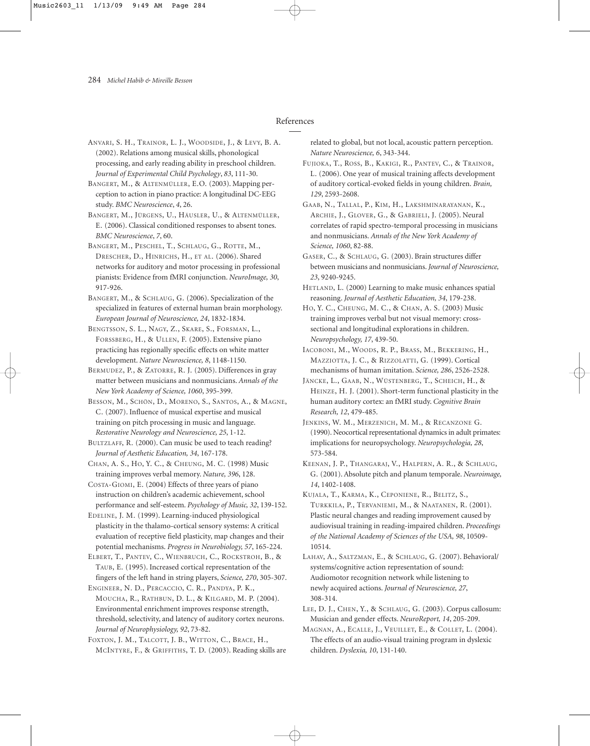#### References

- ANVARI, S. H., TRAINOR, L. J., WOODSIDE, J., & LEVY, B. A. (2002). Relations among musical skills, phonological processing, and early reading ability in preschool children. *Journal of Experimental Child Psychology*, *83*, 111-30.
- BANGERT, M., & ALTENMÜLLER, E.O. (2003). Mapping perception to action in piano practice: A longitudinal DC-EEG study. *BMC Neuroscience*, *4*, 26.
- BANGERT, M., JÜRGENS, U., HÄUSLER, U., & ALTENMÜLLER, E. (2006). Classical conditioned responses to absent tones. *BMC Neuroscience*, *7*, 60.
- BANGERT, M., PESCHEL, T., SCHLAUG, G., ROTTE, M., DRESCHER, D., HINRICHS, H., ET AL. (2006). Shared networks for auditory and motor processing in professional pianists: Evidence from fMRI conjunction. *NeuroImage, 30*, 917-926.
- BANGERT, M., & SCHLAUG, G. (2006). Specialization of the specialized in features of external human brain morphology. *European Journal of Neuroscience, 24*, 1832-1834.
- BENGTSSON, S. L., NAGY, Z., SKARE, S., FORSMAN, L., FORSSBERG, H., & ULLEN, F. (2005). Extensive piano practicing has regionally specific effects on white matter development. *Nature Neuroscience, 8*, 1148-1150.
- BERMUDEZ, P., & ZATORRE, R. J. (2005). Differences in gray matter between musicians and nonmusicians. *Annals of the New York Academy of Science, 1060*, 395-399.
- BESSON, M., SCHÖN, D., MORENO, S., SANTOS, A., & MAGNE, C. (2007). Influence of musical expertise and musical training on pitch processing in music and language. *Restorative Neurology and Neuroscience, 25*, 1-12.
- BULTZLAFF, R. (2000). Can music be used to teach reading? *Journal of Aesthetic Education, 34*, 167-178.
- CHAN, A. S., HO, Y. C., & CHEUNG, M. C. (1998) Music training improves verbal memory. *Nature, 396*, 128.
- COSTA-GIOMI, E. (2004) Effects of three years of piano instruction on children's academic achievement, school performance and self-esteem. *Psychology of Music, 32*, 139-152.
- EDELINE, J. M. (1999). Learning-induced physiological plasticity in the thalamo-cortical sensory systems: A critical evaluation of receptive field plasticity, map changes and their potential mechanisms. *Progress in Neurobiology, 57*, 165-224.
- ELBERT, T., PANTEV, C., WIENBRUCH, C., ROCKSTROH, B., & TAUB, E. (1995). Increased cortical representation of the fingers of the left hand in string players, *Science, 270*, 305-307.
- ENGINEER, N. D., PERCACCIO, C. R., PANDYA, P. K., MOUCHA, R., RATHBUN, D. L., & KILGARD, M. P. (2004). Environmental enrichment improves response strength, threshold, selectivity, and latency of auditory cortex neurons. *Journal of Neurophysiology, 92*, 73-82.
- FOXTON, J. M., TALCOTT, J. B., WITTON, C., BRACE, H., MCINTYRE, F., & GRIFFITHS, T. D. (2003). Reading skills are

related to global, but not local, acoustic pattern perception. *Nature Neuroscience, 6*, 343-344.

FUJIOKA, T., ROSS, B., KAKIGI, R., PANTEV, C., & TRAINOR, L. (2006). One year of musical training affects development of auditory cortical-evoked fields in young children. *Brain, 129*, 2593-2608.

- GAAB, N., TALLAL, P., KIM, H., LAKSHMINARAYANAN, K., ARCHIE, J., GLOVER, G., & GABRIELI, J. (2005). Neural correlates of rapid spectro-temporal processing in musicians and nonmusicians. *Annals of the New York Academy of Science, 1060*, 82-88.
- GASER, C., & SCHLAUG, G. (2003). Brain structures differ between musicians and nonmusicians. *Journal of Neuroscience, 23*, 9240-9245.
- HETLAND, L. (2000) Learning to make music enhances spatial reasoning. *Journal of Aesthetic Education, 34*, 179-238.
- HO, Y. C., CHEUNG, M. C., & CHAN, A. S. (2003) Music training improves verbal but not visual memory: crosssectional and longitudinal explorations in children. *Neuropsychology, 17*, 439-50.
- IACOBONI, M., WOODS, R. P., BRASS, M., BEKKERING, H., MAZZIOTTA, J. C., & RIZZOLATTI, G. (1999). Cortical mechanisms of human imitation. *Science, 286*, 2526-2528.
- JÄNCKE, L., GAAB, N., WÜSTENBERG, T., SCHEICH, H., & HEINZE, H. J. (2001). Short-term functional plasticity in the human auditory cortex: an fMRI study. *Cognitive Brain Research, 12*, 479-485.
- JENKINS, W. M., MERZENICH, M. M., & RECANZONE G. (1990). Neocortical representational dynamics in adult primates: implications for neuropsychology. *Neuropsychologia, 28*, 573-584.
- KEENAN, J. P., THANGARAJ, V., HALPERN, A. R., & SCHLAUG, G. (2001). Absolute pitch and planum temporale. *Neuroimage, 14*, 1402-1408.
- KUJALA, T., KARMA, K., CEPONIENE, R., BELITZ, S., TURKKILA, P., TERVANIEMI, M., & NAATANEN, R. (2001). Plastic neural changes and reading improvement caused by audiovisual training in reading-impaired children. *Proceedings of the National Academy of Sciences of the USA, 98*, 10509- 10514.
- LAHAV, A., SALTZMAN, E., & SCHLAUG, G. (2007). Behavioral/ systems/cognitive action representation of sound: Audiomotor recognition network while listening to newly acquired actions. *Journal of Neuroscience, 27*, 308-314.
- LEE, D. J., CHEN, Y., & SCHLAUG, G. (2003). Corpus callosum: Musician and gender effects. *NeuroReport, 14*, 205-209.
- MAGNAN, A., ECALLE, J., VEUILLET, E., & COLLET, L. (2004). The effects of an audio-visual training program in dyslexic children. *Dyslexia, 10*, 131-140.